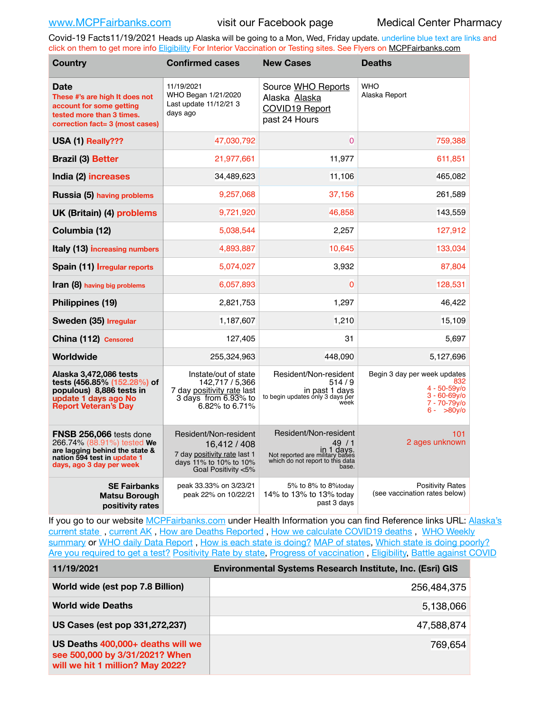Covid-19 Facts11/19/2021 Heads up Alaska will be going to a Mon, Wed, Friday update. underline blue text are links and click on them to get more info [Eligibility](http://dhss.alaska.gov/dph/Epi/id/Pages/COVID-19/VaccineAvailability.aspx) For Interior Vaccination or Testing sites. See Flyers on [MCPFairbanks.com](http://www.MCPFairbanks.com)

| <b>Country</b>                                                                                                                                     | <b>Confirmed cases</b>                                                                                                 | <b>New Cases</b>                                                                                                            | <b>Deaths</b>                                                                                                |  |  |
|----------------------------------------------------------------------------------------------------------------------------------------------------|------------------------------------------------------------------------------------------------------------------------|-----------------------------------------------------------------------------------------------------------------------------|--------------------------------------------------------------------------------------------------------------|--|--|
| <b>Date</b><br>These #'s are high It does not<br>account for some getting<br>tested more than 3 times.<br>correction fact= 3 (most cases)          | 11/19/2021<br>WHO Began 1/21/2020<br>Last update 11/12/21 3<br>days ago                                                | Source WHO Reports<br>Alaska Alaska<br>COVID19 Report<br>past 24 Hours                                                      | <b>WHO</b><br>Alaska Report                                                                                  |  |  |
| USA (1) Really???                                                                                                                                  | 47,030,792                                                                                                             | $\Omega$                                                                                                                    | 759,388                                                                                                      |  |  |
| <b>Brazil (3) Better</b>                                                                                                                           | 21,977,661                                                                                                             | 11,977                                                                                                                      | 611,851                                                                                                      |  |  |
| India (2) increases                                                                                                                                | 34,489,623                                                                                                             | 11,106                                                                                                                      | 465,082                                                                                                      |  |  |
| Russia (5) having problems                                                                                                                         | 9,257,068                                                                                                              | 37,156                                                                                                                      | 261,589                                                                                                      |  |  |
| UK (Britain) (4) problems                                                                                                                          | 9,721,920                                                                                                              | 46,858                                                                                                                      | 143,559                                                                                                      |  |  |
| Columbia (12)                                                                                                                                      | 5,038,544                                                                                                              | 2,257                                                                                                                       | 127,912                                                                                                      |  |  |
| Italy (13) increasing numbers                                                                                                                      | 4,893,887                                                                                                              | 10,645                                                                                                                      | 133,034                                                                                                      |  |  |
| Spain (11) Irregular reports                                                                                                                       | 5,074,027                                                                                                              | 3,932                                                                                                                       | 87,804                                                                                                       |  |  |
| Iran (8) having big problems                                                                                                                       | 6,057,893                                                                                                              | $\Omega$                                                                                                                    | 128,531                                                                                                      |  |  |
| Philippines (19)                                                                                                                                   | 2,821,753                                                                                                              | 1,297                                                                                                                       | 46,422                                                                                                       |  |  |
| Sweden (35) Irregular                                                                                                                              | 1,187,607                                                                                                              | 1,210                                                                                                                       | 15,109                                                                                                       |  |  |
| China (112) Censored                                                                                                                               | 127,405                                                                                                                | 31                                                                                                                          | 5,697                                                                                                        |  |  |
| Worldwide                                                                                                                                          | 255,324,963                                                                                                            | 448,090                                                                                                                     | 5,127,696                                                                                                    |  |  |
| Alaska 3,472,086 tests<br>tests (456.85% (152.28%) of<br>populous) 8,886 tests in<br>update 1 days ago No<br><b>Report Veteran's Day</b>           | Instate/out of state<br>142.717 / 5.366<br>7 day positivity rate last<br>3 days from 6.93% to<br>6.82% to 6.71%        | Resident/Non-resident<br>514/9<br>in past 1 days<br>to begin updates only 3 days per<br>week                                | Begin 3 day per week updates<br>832<br>$4 - 50 - 59$ v/o<br>$3 - 60 - 69y$ o<br>7 - 70-79y/o<br>$6 - 80v$ /o |  |  |
| FNSB 256,066 tests done<br>266.74% (88.91%) tested We<br>are lagging behind the state &<br>nation 594 test in update 1<br>days, ago 3 day per week | Resident/Non-resident<br>16,412 / 408<br>7 day positivity rate last 1<br>days 11% to 10% to 10%<br>Goal Positivity <5% | Resident/Non-resident<br>49/1<br>in 1 days.<br>Not reported are military bases<br>which do not report to this data<br>base. | 101<br>2 ages unknown                                                                                        |  |  |
| <b>SE Fairbanks</b><br><b>Matsu Borough</b><br>positivity rates                                                                                    | peak 33.33% on 3/23/21<br>peak 22% on 10/22/21                                                                         | 5% to 8% to 8%today<br>14% to 13% to 13% today<br>past 3 days                                                               | <b>Positivity Rates</b><br>(see vaccination rates below)                                                     |  |  |

If you go to our website [MCPFairbanks.com](http://www.MCPFairbanks.com) under Health Information you can find Reference links URL: Alaska's [current state](https://coronavirus-response-alaska-dhss.hub.arcgis.com) , [current AK](http://dhss.alaska.gov/dph/Epi/id/Pages/COVID-19/communications.aspx#cases) , [How are Deaths Reported](http://dhss.alaska.gov/dph/Epi/id/Pages/COVID-19/deathcounts.aspx) , [How we calculate COVID19 deaths](https://coronavirus-response-alaska-dhss.hub.arcgis.com/search?collection=Document&groupIds=41ccb3344ebc4bd682c74073eba21f42) , [WHO Weekly](http://www.who.int)  [summary](http://www.who.int) or [WHO daily Data Report](https://covid19.who.int/table), [How is each state is doing?](https://www.msn.com/en-us/news/us/state-by-state-coronavirus-news/ar-BB13E1PX?fbclid=IwAR0_OBJH7lSyTN3ug_MsOeFnNgB1orTa9OBgilKJ7dhnwlVvHEsptuKkj1c) [MAP of states,](https://www.nationalgeographic.com/science/graphics/graphic-tracking-coronavirus-infections-us?cmpid=org=ngp::mc=crm-email::src=ngp::cmp=editorial::add=SpecialEdition_20210305&rid=B9A6DF5992658E8E35CE023113CFEA4C) [Which state is doing poorly?](https://bestlifeonline.com/covid-outbreak-your-state/?utm_source=nsltr&utm_medium=email&utm_content=covid-outbreak-your-state&utm_campaign=launch) [Are you required to get a test?](http://dhss.alaska.gov/dph/Epi/id/SiteAssets/Pages/HumanCoV/Whattodoafteryourtest.pdf) [Positivity Rate by state](https://coronavirus.jhu.edu/testing/individual-states/alaska), Progress of vaccination, [Eligibility,](http://dhss.alaska.gov/dph/Epi/id/Pages/COVID-19/VaccineAvailability.aspx) [Battle against COVID](https://www.nationalgeographic.com/science/graphics/graphic-tracking-coronavirus-infections-us?cmpid=org=ngp::mc=crm-email::src=ngp::cmp=editorial::add=SpecialEdition_20210219&rid=B9A6DF5992658E8E35CE023113CFEA4C)

| 111372021                                                                                               | LINIUIIIIEIIIAI OVSIEIIIS NESEALUI IIISULULE, IIIU. (LSIII) GIO |
|---------------------------------------------------------------------------------------------------------|-----------------------------------------------------------------|
| World wide (est pop 7.8 Billion)                                                                        | 256,484,375                                                     |
| <b>World wide Deaths</b>                                                                                | 5,138,066                                                       |
| US Cases (est pop 331,272,237)                                                                          | 47,588,874                                                      |
| US Deaths 400,000+ deaths will we<br>see 500,000 by 3/31/2021? When<br>will we hit 1 million? May 2022? | 769,654                                                         |

**11/19/2021 Environmental Systems Research Institute, Inc. (Esri) GIS**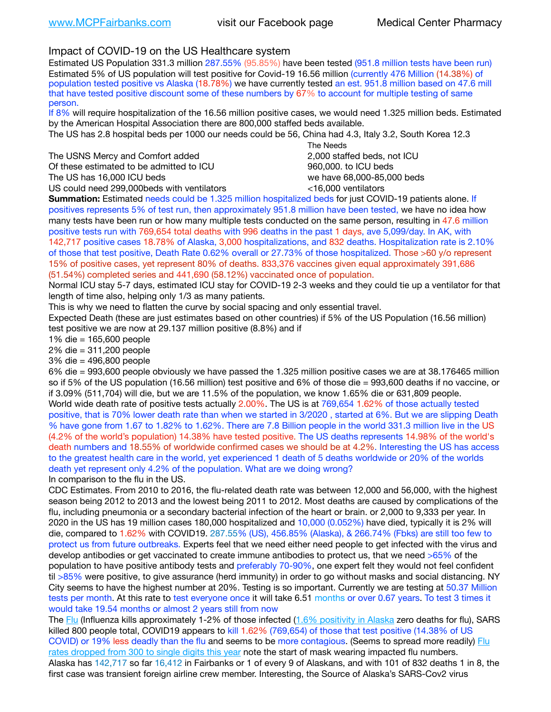# Impact of COVID-19 on the US Healthcare system

Estimated US Population 331.3 million 287.55% (95.85%) have been tested (951.8 million tests have been run) Estimated 5% of US population will test positive for Covid-19 16.56 million (currently 476 Million (14.38%) of population tested positive vs Alaska (18.78%) we have currently tested an est. 951.8 million based on 47.6 mill that have tested positive discount some of these numbers by 67% to account for multiple testing of same person.

If 8% will require hospitalization of the 16.56 million positive cases, we would need 1.325 million beds. Estimated by the American Hospital Association there are 800,000 staffed beds available.

The US has 2.8 hospital beds per 1000 our needs could be 56, China had 4.3, Italy 3.2, South Korea 12.3

The USNS Mercy and Comfort added 2,000 staffed beds, not ICU Of these estimated to be admitted to ICU **beds** and the set of the set of the 960,000, to ICU beds The US has 16,000 ICU beds we have 68,000-85,000 beds

 The Needs US could need 299,000 beds with ventilators  $\leq$ 16,000 ventilators

**Summation:** Estimated needs could be 1.325 million hospitalized beds for just COVID-19 patients alone. If positives represents 5% of test run, then approximately 951.8 million have been tested, we have no idea how many tests have been run or how many multiple tests conducted on the same person, resulting in 47.6 million positive tests run with 769,654 total deaths with 996 deaths in the past 1 days, ave 5,099/day. In AK, with 142,717 positive cases 18.78% of Alaska, 3,000 hospitalizations, and 832 deaths. Hospitalization rate is 2.10% of those that test positive, Death Rate 0.62% overall or 27.73% of those hospitalized. Those >60 y/o represent 15% of positive cases, yet represent 80% of deaths. 833,376 vaccines given equal approximately 391,686 (51.54%) completed series and 441,690 (58.12%) vaccinated once of population.

Normal ICU stay 5-7 days, estimated ICU stay for COVID-19 2-3 weeks and they could tie up a ventilator for that length of time also, helping only 1/3 as many patients.

This is why we need to flatten the curve by social spacing and only essential travel.

Expected Death (these are just estimates based on other countries) if 5% of the US Population (16.56 million) test positive we are now at 29.137 million positive (8.8%) and if

1% die = 165,600 people

2% die = 311,200 people

3% die = 496,800 people

6% die = 993,600 people obviously we have passed the 1.325 million positive cases we are at 38.176465 million so if 5% of the US population (16.56 million) test positive and 6% of those die = 993,600 deaths if no vaccine, or if 3.09% (511,704) will die, but we are 11.5% of the population, we know 1.65% die or 631,809 people. World wide death rate of positive tests actually 2.00%. The US is at 769,654 1.62% of those actually tested positive, that is 70% lower death rate than when we started in 3/2020 , started at 6%. But we are slipping Death % have gone from 1.67 to 1.82% to 1.62%. There are 7.8 Billion people in the world 331.3 million live in the US (4.2% of the world's population) 14.38% have tested positive. The US deaths represents 14.98% of the world's death numbers and 18.55% of worldwide confirmed cases we should be at 4.2%. Interesting the US has access to the greatest health care in the world, yet experienced 1 death of 5 deaths worldwide or 20% of the worlds death yet represent only 4.2% of the population. What are we doing wrong?

In comparison to the flu in the US.

CDC Estimates. From 2010 to 2016, the flu-related death rate was between 12,000 and 56,000, with the highest season being 2012 to 2013 and the lowest being 2011 to 2012. Most deaths are caused by complications of the flu, including pneumonia or a secondary bacterial infection of the heart or brain. or 2,000 to 9,333 per year. In 2020 in the US has 19 million cases 180,000 hospitalized and 10,000 (0.052%) have died, typically it is 2% will die, compared to 1.62% with COVID19. 287.55% (US), 456.85% (Alaska), & 266.74% (Fbks) are still too few to protect us from future outbreaks. Experts feel that we need either need people to get infected with the virus and develop antibodies or get vaccinated to create immune antibodies to protect us, that we need >65% of the population to have positive antibody tests and preferably 70-90%, one expert felt they would not feel confident til >85% were positive, to give assurance (herd immunity) in order to go without masks and social distancing. NY City seems to have the highest number at 20%. Testing is so important. Currently we are testing at 50.37 Million tests per month. At this rate to test everyone once it will take 6.51 months or over 0.67 years. To test 3 times it would take 19.54 months or almost 2 years still from now

The [Flu](https://lnks.gd/l/eyJhbGciOiJIUzI1NiJ9.eyJidWxsZXRpbl9saW5rX2lkIjoxMDMsInVyaSI6ImJwMjpjbGljayIsImJ1bGxldGluX2lkIjoiMjAyMTAyMjYuMzYwNDA3NTEiLCJ1cmwiOiJodHRwczovL3d3dy5jZGMuZ292L2ZsdS93ZWVrbHkvb3ZlcnZpZXcuaHRtIn0.ePMA_hsZ-pTnhWSyg1gHvHWYTu2XceVOt0JejxvP1WE/s/500544915/br/98428119752-l) (Influenza kills approximately 1-2% of those infected ([1.6% positivity in Alaska](http://dhss.alaska.gov/dph/Epi/id/SiteAssets/Pages/influenza/trends/Snapshot.pdf) zero deaths for flu), SARS killed 800 people total, COVID19 appears to kill 1.62% (769,654) of those that test positive (14.38% of US COVID) or 19% less deadly than the flu and seems to be more contagious. (Seems to spread more readily) Flu [rates dropped from 300 to single digits this year](https://lnks.gd/l/eyJhbGciOiJIUzI1NiJ9.eyJidWxsZXRpbl9saW5rX2lkIjoxMDEsInVyaSI6ImJwMjpjbGljayIsImJ1bGxldGluX2lkIjoiMjAyMTAyMjYuMzYwNDA3NTEiLCJ1cmwiOiJodHRwOi8vZGhzcy5hbGFza2EuZ292L2RwaC9FcGkvaWQvUGFnZXMvaW5mbHVlbnphL2ZsdWluZm8uYXNweCJ9.oOe3nt2fww6XpsNhb4FZfmtPfPa-irGaldpkURBJhSo/s/500544915/br/98428119752-l) note the start of mask wearing impacted flu numbers. Alaska has 142,717 so far 16,412 in Fairbanks or 1 of every 9 of Alaskans, and with 101 of 832 deaths 1 in 8, the first case was transient foreign airline crew member. Interesting, the Source of Alaska's SARS-Cov2 virus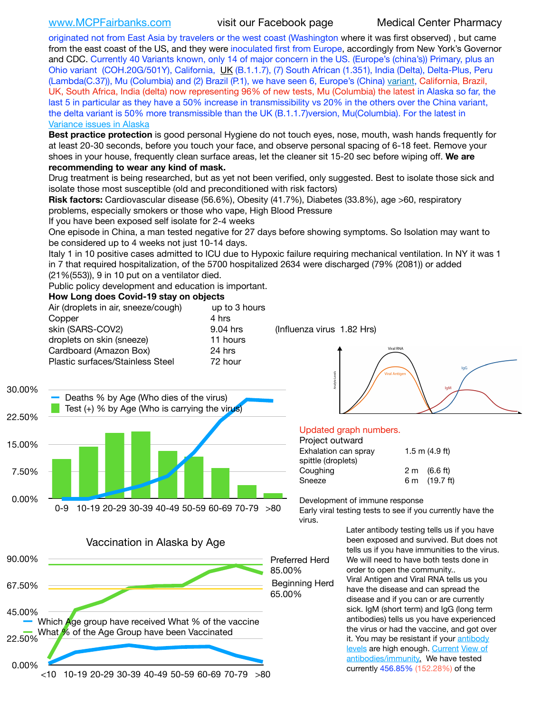[www.MCPFairbanks.com](http://www.MCPFairbanks.com) visit our Facebook page Medical Center Pharmacy

originated not from East Asia by travelers or the west coast (Washington where it was first observed) , but came from the east coast of the US, and they were inoculated first from Europe, accordingly from New York's Governor and CDC. Currently 40 Variants known, only 14 of major concern in the US. (Europe's (china's)) Primary, plus an Ohio variant (COH.20G/501Y), California, [UK](https://www.cdc.gov/coronavirus/2019-ncov/transmission/variant-cases.html) (B.1.1.7), (7) South African (1.351), India (Delta), Delta-Plus, Peru (Lambda(C.37)), Mu (Columbia) and (2) Brazil (P.1), we have seen 6, Europe's (China) [variant,](https://www.webmd.com/lung/news/20210318/cdc-who-create-threat-levels-for-covid-variants?ecd=wnl_cvd_031921&ctr=wnl-cvd-031921&mb=kYbf7DsHb7YGjh/1RUkcAW0T6iorImAU1TDZh18RYs0=_Support_titleLink_2) California, Brazil, UK, South Africa, India (delta) now representing 96% of new tests, Mu (Columbia) the latest in Alaska so far, the last 5 in particular as they have a 50% increase in transmissibility vs 20% in the others over the China variant, the delta variant is 50% more transmissible than the UK (B.1.1.7) version, Mu(Columbia). For the latest in [Variance issues in Alaska](https://akvariants.github.io)

**Best practice protection** is good personal Hygiene do not touch eyes, nose, mouth, wash hands frequently for at least 20-30 seconds, before you touch your face, and observe personal spacing of 6-18 feet. Remove your shoes in your house, frequently clean surface areas, let the cleaner sit 15-20 sec before wiping off. **We are recommending to wear any kind of mask.**

Drug treatment is being researched, but as yet not been verified, only suggested. Best to isolate those sick and isolate those most susceptible (old and preconditioned with risk factors)

**Risk factors:** Cardiovascular disease (56.6%), Obesity (41.7%), Diabetes (33.8%), age >60, respiratory problems, especially smokers or those who vape, High Blood Pressure

If you have been exposed self isolate for 2-4 weeks

One episode in China, a man tested negative for 27 days before showing symptoms. So Isolation may want to be considered up to 4 weeks not just 10-14 days.

Italy 1 in 10 positive cases admitted to ICU due to Hypoxic failure requiring mechanical ventilation. In NY it was 1 in 7 that required hospitalization, of the 5700 hospitalized 2634 were discharged (79% (2081)) or added (21%(553)), 9 in 10 put on a ventilator died.

Public policy development and education is important.

### **How Long does Covid-19 stay on objects**

| Air (droplets in air, sneeze/cough) | up to 3 hours |  |  |
|-------------------------------------|---------------|--|--|
| Copper                              | 4 hrs         |  |  |
| skin (SARS-COV2)                    | 9.04 hrs      |  |  |
| droplets on skin (sneeze)           | 11 hours      |  |  |
| Cardboard (Amazon Box)              | 24 hrs        |  |  |
| Plastic surfaces/Stainless Steel    | 72 hour       |  |  |
|                                     |               |  |  |

(Influenza virus 1.82 Hrs)





## Updated graph numbers.

| Project outward      |                        |  |  |
|----------------------|------------------------|--|--|
| Exhalation can sprav | $1.5$ m $(4.9$ ft)     |  |  |
| spittle (droplets)   |                        |  |  |
| Coughing             | $2 \text{ m}$ (6.6 ft) |  |  |
| Sneeze               | 6 m (19.7 ft)          |  |  |
|                      |                        |  |  |

Development of immune response

Early viral testing tests to see if you currently have the virus.

> Later antibody testing tells us if you have been exposed and survived. But does not tells us if you have immunities to the virus. We will need to have both tests done in order to open the community.. Viral Antigen and Viral RNA tells us you have the disease and can spread the disease and if you can or are currently sick. IgM (short term) and IgG (long term antibodies) tells us you have experienced the virus or had the vaccine, and got over it. You may be resistant if your [antibody](https://www.cdc.gov/coronavirus/2019-ncov/lab/resources/antibody-tests.html)  [levels](https://www.cdc.gov/coronavirus/2019-ncov/lab/resources/antibody-tests.html) are high enough. [Current](https://l.facebook.com/l.php?u=https://www.itv.com/news/2020-10-26/covid-19-antibody-levels-reduce-over-time-study-finds?fbclid=IwAR3Dapzh1qIH1EIOdUQI2y8THf7jfA4KBCaJz8Qg-8xe1YsrR4nsAHDIXSY&h=AT30nut8pkqp0heVuz5W2rT2WFFm-2Ab52BsJxZZCNlGsX58IpPkuVEPULbIUV_M16MAukx1Kwb657DPXxsgDN1rpOQ4gqBtQsmVYiWpnHPJo2RQsU6CPMd14lgLnQnFWxfVi6zvmw&__tn__=-UK-R&c%5B0%5D=AT1GaRAfR_nGAyqcn7TI1-PpvqOqEKXHnz6TDWvRStMnOSH7boQDvTiwTOc6VId9UES6LKiOmm2m88wKCoolkJyOFvakt2Z1Mw8toYWGGoWW23r0MNVBl7cYJXB_UOvGklNHaNnaNr1_S7NhT3BSykNOBg) [View of](https://www.livescience.com/antibodies.html)  [antibodies/immunity](https://www.livescience.com/antibodies.html)[.](https://www.itv.com/news/2020-10-26/covid-19-antibody-levels-reduce-over-time-study-finds) We have tested currently 456.85% (152.28%) of the



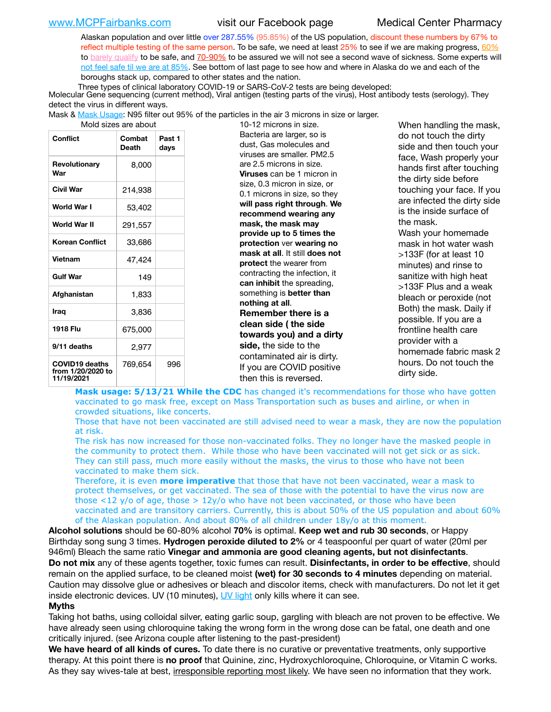Alaskan population and over little over 287.55% (95.85%) of the US population, discount these numbers by 67% to reflect multiple testing of the same person. To be safe, we need at least  $25\%$  to see if we are making progress,  $60\%$ to [barely qualify](https://www.nature.com/articles/d41586-020-02948-4) to be safe, and [70-90%](https://www.mayoclinic.org/herd-immunity-and-coronavirus/art-20486808) to be assured we will not see a second wave of sickness. Some experts will [not feel safe til we are at 85%](https://www.bannerhealth.com/healthcareblog/teach-me/what-is-herd-immunity). See bottom of last page to see how and where in Alaska do we and each of the boroughs stack up, compared to other states and the nation.

Three types of clinical laboratory COVID-19 or SARS-CoV-2 tests are being developed:

 Molecular Gene sequencing (current method), Viral antigen (testing parts of the virus), Host antibody tests (serology). They detect the virus in different ways.

Mask & <u>Mask Usage</u>: N95 filter out 95% of the particles in the air 3 microns in size or larger.<br>19.12 microns in size

| iviolu sizes are about                                   |                        |                |  |  |  |  |
|----------------------------------------------------------|------------------------|----------------|--|--|--|--|
| <b>Conflict</b>                                          | Combat<br><b>Death</b> | Past 1<br>days |  |  |  |  |
| Revolutionary<br>War                                     | 8,000                  |                |  |  |  |  |
| Civil War                                                | 214,938                |                |  |  |  |  |
| World War I                                              | 53,402                 |                |  |  |  |  |
| World War II                                             | 291,557                |                |  |  |  |  |
| <b>Korean Conflict</b>                                   | 33,686                 |                |  |  |  |  |
| <b>Vietnam</b>                                           | 47,424                 |                |  |  |  |  |
| <b>Gulf War</b>                                          | 149                    |                |  |  |  |  |
| Afghanistan                                              | 1,833                  |                |  |  |  |  |
| Iraq                                                     | 3,836                  |                |  |  |  |  |
| 1918 Flu                                                 | 675,000                |                |  |  |  |  |
| 9/11 deaths                                              | 2,977                  |                |  |  |  |  |
| <b>COVID19 deaths</b><br>from 1/20/2020 to<br>11/19/2021 | 769,654                | 996            |  |  |  |  |

10-12 microns in size. Bacteria are larger, so is dust, Gas molecules and viruses are smaller. PM2.5 are 2.5 microns in size. **Viruses** can be 1 micron in size, 0.3 micron in size, or 0.1 microns in size, so they **will pass right through**. **We recommend wearing any mask, the mask may provide up to 5 times the protection** ver **wearing no mask at all**. It still **does not protect** the wearer from contracting the infection, it **can inhibit** the spreading, something is **better than nothing at all**. **Remember there is a clean side ( the side towards you) and a dirty side,** the side to the contaminated air is dirty. If you are COVID positive then this is reversed.

When handling the mask, do not touch the dirty side and then touch your face, Wash properly your hands first after touching the dirty side before touching your face. If you are infected the dirty side is the inside surface of the mask. Wash your homemade mask in hot water wash >133F (for at least 10 minutes) and rinse to sanitize with high heat >133F Plus and a weak bleach or peroxide (not Both) the mask. Daily if possible. If you are a frontline health care provider with a homemade fabric mask 2 hours. Do not touch the dirty side.

**Mask usage: 5/13/21 While the CDC** has changed it's recommendations for those who have gotten vaccinated to go mask free, except on Mass Transportation such as buses and airline, or when in crowded situations, like concerts.

Those that have not been vaccinated are still advised need to wear a mask, they are now the population at risk.

The risk has now increased for those non-vaccinated folks. They no longer have the masked people in the community to protect them. While those who have been vaccinated will not get sick or as sick. They can still pass, much more easily without the masks, the virus to those who have not been vaccinated to make them sick.

Therefore, it is even **more imperative** that those that have not been vaccinated, wear a mask to protect themselves, or get vaccinated. The sea of those with the potential to have the virus now are those <12 y/o of age, those >  $12y$ /o who have not been vaccinated, or those who have been vaccinated and are transitory carriers. Currently, this is about 50% of the US population and about 60% of the Alaskan population. And about 80% of all children under 18y/o at this moment.

**Alcohol solutions** should be 60-80% alcohol **70%** is optimal. **Keep wet and rub 30 seconds**, or Happy Birthday song sung 3 times. **Hydrogen peroxide diluted to 2%** or 4 teaspoonful per quart of water (20ml per 946ml) Bleach the same ratio **Vinegar and ammonia are good cleaning agents, but not disinfectants**. **Do not mix** any of these agents together, toxic fumes can result. **Disinfectants, in order to be effective**, should remain on the applied surface, to be cleaned moist **(wet) for 30 seconds to 4 minutes** depending on material. Caution may dissolve glue or adhesives or bleach and discolor items, check with manufacturers. Do not let it get inside electronic devices. UV (10 minutes), [UV light](http://www.docreviews.me/best-uv-boxes-2020/?fbclid=IwAR3bvFtXB48OoBBSvYvTEnKuHNPbipxM6jUo82QUSw9wckxjC7wwRZWabGw) only kills where it can see.

### **Myths**

Taking hot baths, using colloidal silver, eating garlic soup, gargling with bleach are not proven to be effective. We have already seen using chloroquine taking the wrong form in the wrong dose can be fatal, one death and one critically injured. (see Arizona couple after listening to the past-president)

**We have heard of all kinds of cures.** To date there is no curative or preventative treatments, only supportive therapy. At this point there is **no proof** that Quinine, zinc, Hydroxychloroquine, Chloroquine, or Vitamin C works. As they say wives-tale at best, irresponsible reporting most likely. We have seen no information that they work.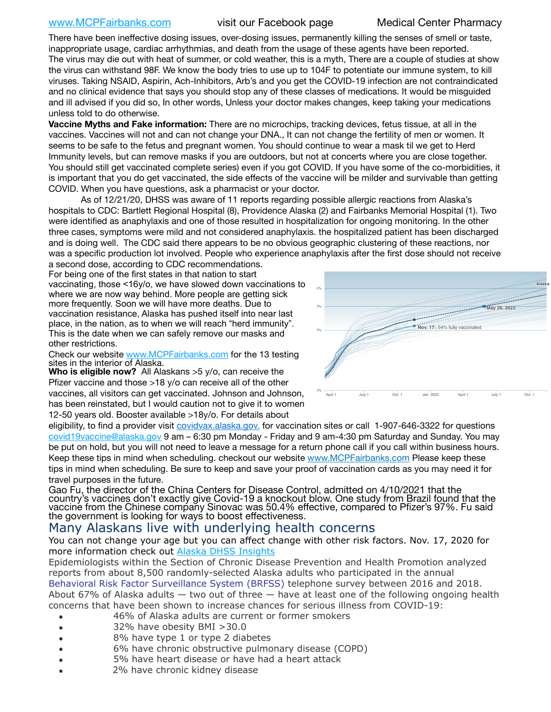[www.MCPFairbanks.com](http://www.MCPFairbanks.com) visit our Facebook page Medical Center Pharmacy

There have been ineffective dosing issues, over-dosing issues, permanently killing the senses of smell or taste, inappropriate usage, cardiac arrhythmias, and death from the usage of these agents have been reported. The virus may die out with heat of summer, or cold weather, this is a myth, There are a couple of studies at show the virus can withstand 98F. We know the body tries to use up to 104F to potentiate our immune system, to kill viruses. Taking NSAID, Aspirin, Ach-Inhibitors, Arb's and you get the COVID-19 infection are not contraindicated and no clinical evidence that says you should stop any of these classes of medications. It would be misguided and ill advised if you did so, In other words, Unless your doctor makes changes, keep taking your medications unless told to do otherwise.

**Vaccine Myths and Fake information:** There are no microchips, tracking devices, fetus tissue, at all in the vaccines. Vaccines will not and can not change your DNA., It can not change the fertility of men or women. It seems to be safe to the fetus and pregnant women. You should continue to wear a mask til we get to Herd Immunity levels, but can remove masks if you are outdoors, but not at concerts where you are close together. You should still get vaccinated complete series) even if you got COVID. If you have some of the co-morbidities, it is important that you do get vaccinated, the side effects of the vaccine will be milder and survivable than getting COVID. When you have questions, ask a pharmacist or your doctor.

As of 12/21/20, DHSS was aware of 11 reports regarding possible allergic reactions from Alaska's hospitals to CDC: Bartlett Regional Hospital (8), Providence Alaska (2) and Fairbanks Memorial Hospital (1). Two were identified as anaphylaxis and one of those resulted in hospitalization for ongoing monitoring. In the other three cases, symptoms were mild and not considered anaphylaxis. the hospitalized patient has been discharged and is doing well. The CDC said there appears to be no obvious geographic clustering of these reactions, nor was a specific production lot involved. People who experience anaphylaxis after the first dose should not receive

a second dose, according to CDC recommendations. For being one of the first states in that nation to start vaccinating, those <16y/o, we have slowed down vaccinations to where we are now way behind. More people are getting sick more frequently. Soon we will have more deaths. Due to vaccination resistance, Alaska has pushed itself into near last place, in the nation, as to when we will reach "herd immunity". This is the date when we can safely remove our masks and other restrictions.

Check our website [www.MCPFairbanks.com](http://www.MCPFairbanks.com) for the 13 testing sites in the interior of Alaska.

**Who is eligible now?** All Alaskans > 5 y/o, can receive the Pfizer vaccine and those >18 y/o can receive all of the other vaccines, all visitors can get vaccinated. Johnson and Johnson, has been reinstated, but I would caution not to give it to women 12-50 years old. Booster available >18y/o. For details about



eligibility, to find a provider visit *covidvax.alaska.gov.* for vaccination sites or call 1-907-646-3322 for questions [covid19vaccine@alaska.gov](mailto:covid19vaccine@alaska.gov?subject=COVID19%20Vaccine%20questions) 9 am – 6:30 pm Monday - Friday and 9 am-4:30 pm Saturday and Sunday. You may be put on hold, but you will not need to leave a message for a return phone call if you call within business hours. Keep these tips in mind when scheduling. checkout our website [www.MCPFairbanks.com](http://www.MCPFairbanks.com) Please keep these tips in mind when scheduling. Be sure to keep and save your proof of vaccination cards as you may need it for travel purposes in the future.

Gao Fu, the director of the China Centers for Disease Control, admitted on 4/10/2021 that the country's vaccines don't exactly give Covid-19 a knockout blow. One study from Brazil found that the vaccine from the Chinese company Sinovac was 50.4% effective, compared to Pfizer's 97%. Fu said the government is looking for ways to boost effectiveness.

# Many Alaskans live with underlying health concerns

You can not change your age but you can affect change with other risk factors. Nov. 17, 2020 for more information check out [Alaska DHSS Insights](http://dhss.alaska.gov/dph/Epi/id/Pages/COVID-19/blog/20201117.aspx)

Epidemiologists within the Section of Chronic Disease Prevention and Health Promotion analyzed reports from about 8,500 randomly-selected Alaska adults who participated in the annual [Behavioral Risk Factor Surveillance System \(BRFSS\)](http://dhss.alaska.gov/dph/Chronic/Pages/brfss/default.aspx) telephone survey between 2016 and 2018. About 67% of Alaska adults  $-$  two out of three  $-$  have at least one of the following ongoing health concerns that have been shown to increase chances for serious illness from COVID-19:

- 46% of Alaska adults are current or former smokers
- 32% have obesity BMI >30.0
- 8% have type 1 or type 2 diabetes
- 6% have chronic obstructive pulmonary disease (COPD)
- 5% have heart disease or have had a heart attack
- 2% have chronic kidney disease